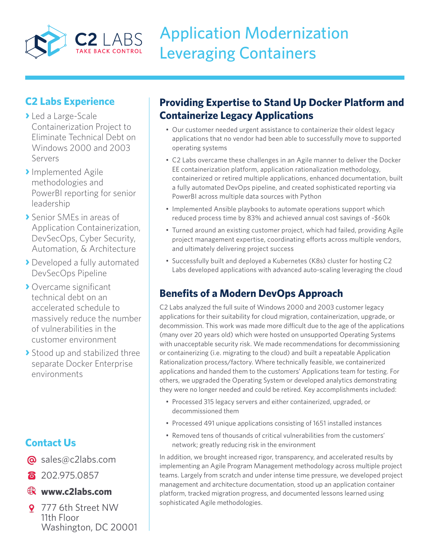

# Application Modernization Leveraging Containers

### **C2 Labs Experience**

- **›** Led a Large-Scale Containerization Project to Eliminate Technical Debt on Windows 2000 and 2003 Servers
- **›**Implemented Agile methodologies and PowerBI reporting for senior leadership
- **›** Senior SMEs in areas of Application Containerization, DevSecOps, Cyber Security, Automation, & Architecture
- **›** Developed a fully automated DevSecOps Pipeline
- **›** Overcame significant technical debt on an accelerated schedule to massively reduce the number of vulnerabilities in the customer environment
- **›** Stood up and stabilized three separate Docker Enterprise environments

# **Contact Us**

- @ sales@c2labs.com
- 8 202.975.0857

#### **www.c2labs.com**

9 777 6th Street NW 11th Floor Washington, DC 20001

# **Providing Expertise to Stand Up Docker Platform and Containerize Legacy Applications**

- Our customer needed urgent assistance to containerize their oldest legacy applications that no vendor had been able to successfully move to supported operating systems
- C2 Labs overcame these challenges in an Agile manner to deliver the Docker EE containerization platform, application rationalization methodology, containerized or retired multiple applications, enhanced documentation, built a fully automated DevOps pipeline, and created sophisticated reporting via PowerBI across multiple data sources with Python
- Implemented Ansible playbooks to automate operations support which reduced process time by 83% and achieved annual cost savings of ~\$60k
- Turned around an existing customer project, which had failed, providing Agile project management expertise, coordinating efforts across multiple vendors, and ultimately delivering project success
- Successfully built and deployed a Kubernetes (K8s) cluster for hosting C2 Labs developed applications with advanced auto-scaling leveraging the cloud

# **Benefits of a Modern DevOps Approach**

C2 Labs analyzed the full suite of Windows 2000 and 2003 customer legacy applications for their suitability for cloud migration, containerization, upgrade, or decommission. This work was made more difficult due to the age of the applications (many over 20 years old) which were hosted on unsupported Operating Systems with unacceptable security risk. We made recommendations for decommissioning or containerizing (i.e. migrating to the cloud) and built a repeatable Application Rationalization process/factory. Where technically feasible, we containerized applications and handed them to the customers' Applications team for testing. For others, we upgraded the Operating System or developed analytics demonstrating they were no longer needed and could be retired. Key accomplishments included:

- Processed 315 legacy servers and either containerized, upgraded, or decommissioned them
- Processed 491 unique applications consisting of 1651 installed instances
- Removed tens of thousands of critical vulnerabilities from the customers' network; greatly reducing risk in the environment

In addition, we brought increased rigor, transparency, and accelerated results by implementing an Agile Program Management methodology across multiple project teams. Largely from scratch and under intense time pressure, we developed project management and architecture documentation, stood up an application container platform, tracked migration progress, and documented lessons learned using sophisticated Agile methodologies.